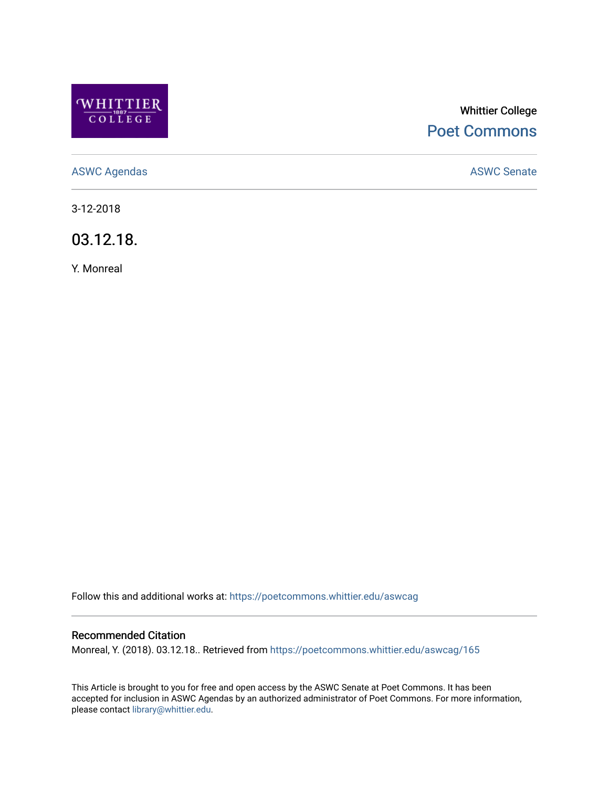

# Whittier College [Poet Commons](https://poetcommons.whittier.edu/)

[ASWC Agendas](https://poetcommons.whittier.edu/aswcag) **ASWC Senate** 

3-12-2018

03.12.18.

Y. Monreal

Follow this and additional works at: [https://poetcommons.whittier.edu/aswcag](https://poetcommons.whittier.edu/aswcag?utm_source=poetcommons.whittier.edu%2Faswcag%2F165&utm_medium=PDF&utm_campaign=PDFCoverPages) 

## Recommended Citation

Monreal, Y. (2018). 03.12.18.. Retrieved from [https://poetcommons.whittier.edu/aswcag/165](https://poetcommons.whittier.edu/aswcag/165?utm_source=poetcommons.whittier.edu%2Faswcag%2F165&utm_medium=PDF&utm_campaign=PDFCoverPages) 

This Article is brought to you for free and open access by the ASWC Senate at Poet Commons. It has been accepted for inclusion in ASWC Agendas by an authorized administrator of Poet Commons. For more information, please contact [library@whittier.edu](mailto:library@whittier.edu).